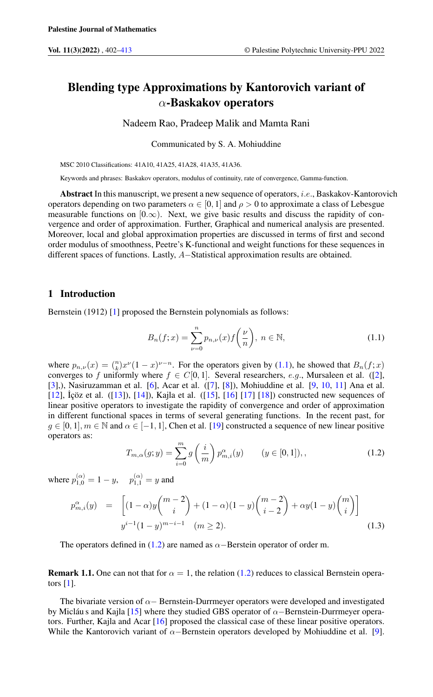## Blending type Approximations by Kantorovich variant of  $\alpha$ -Baskakov operators

Nadeem Rao, Pradeep Malik and Mamta Rani

Communicated by S. A. Mohiuddine

MSC 2010 Classifications: 41A10, 41A25, 41A28, 41A35, 41A36.

Keywords and phrases: Baskakov operators, modulus of continuity, rate of convergence, Gamma-function.

Abstract In this manuscript, we present a new sequence of operators, i.e., Baskakov-Kantorovich operators depending on two parameters  $\alpha \in [0, 1]$  and  $\rho > 0$  to approximate a class of Lebesgue measurable functions on  $[0,\infty)$ . Next, we give basic results and discuss the rapidity of convergence and order of approximation. Further, Graphical and numerical analysis are presented. Moreover, local and global approximation properties are discussed in terms of first and second order modulus of smoothness, Peetre's K-functional and weight functions for these sequences in different spaces of functions. Lastly, A−Statistical approximation results are obtained.

### 1 Introduction

Bernstein (1912) [\[1\]](#page-10-1) proposed the Bernstein polynomials as follows:

<span id="page-0-0"></span>
$$
B_n(f; x) = \sum_{\nu=0}^n p_{n,\nu}(x) f\left(\frac{\nu}{n}\right), \ n \in \mathbb{N},
$$
 (1.1)

where  $p_{n,\nu}(x) = \binom{n}{k} x^{\nu}(1-x)^{\nu-n}$ . For the operators given by [\(1.1\)](#page-0-0), he showed that  $B_n(f; x)$ converges to f uniformly where  $f \in C[0, 1]$ . Several researchers, e.g., Mursaleen et al. ([\[2\]](#page-10-2), [\[3\]](#page-10-3),), Nasiruzamman et al. [\[6\]](#page-11-0), Acar et al. ([\[7\]](#page-11-1), [\[8\]](#page-11-2)), Mohiuddine et al. [\[9,](#page-11-3) [10,](#page-11-4) [11\]](#page-11-5) Ana et al.  $[12]$ ,  $\dot{I}$ çöz et al.  $([13])$  $([13])$  $([13])$ ,  $[14]$ ), Kajla et al.  $([15]$  $([15]$ ,  $[16]$   $[17]$   $[18]$ ) constructed new sequences of linear positive operators to investigate the rapidity of convergence and order of approximation in different functional spaces in terms of several generating functions. In the recent past, for  $g \in [0, 1], m \in \mathbb{N}$  and  $\alpha \in [-1, 1]$ , Chen et al. [\[19\]](#page-11-13) constructed a sequence of new linear positive operators as:

<span id="page-0-1"></span>
$$
T_{m,\alpha}(g;y) = \sum_{i=0}^{m} g\left(\frac{i}{m}\right) p_{m,i}^{\alpha}(y) \qquad (y \in [0,1]),
$$
\n(1.2)

where  $p_{1,0}^{(\alpha)} = 1 - y$ ,  $p_{1,1}^{(\alpha)} = y$  and

$$
p_{m,i}^{\alpha}(y) = \left[ (1-\alpha)y \binom{m-2}{i} + (1-\alpha)(1-y) \binom{m-2}{i-2} + \alpha y (1-y) \binom{m}{i} \right]
$$
  

$$
y^{i-1}(1-y)^{m-i-1} \quad (m \ge 2).
$$
 (1.3)

The operators defined in [\(1.2\)](#page-0-1) are named as  $\alpha$ −Berstein operator of order m.

**Remark 1.1.** One can not that for  $\alpha = 1$ , the relation [\(1.2\)](#page-0-1) reduces to classical Bernstein operators  $[1]$ .

The bivariate version of  $\alpha$  – Bernstein-Durrmeyer operators were developed and investigated by Micláu s and Kajla [\[15\]](#page-11-9) where they studied GBS operator of  $\alpha$ −Bernstein-Durrmeyer operators. Further, Kajla and Acar [\[16\]](#page-11-10) proposed the classical case of these linear positive operators. While the Kantorovich variant of  $\alpha$ −Bernstein operators developed by Mohiuddine et al. [\[9\]](#page-11-3).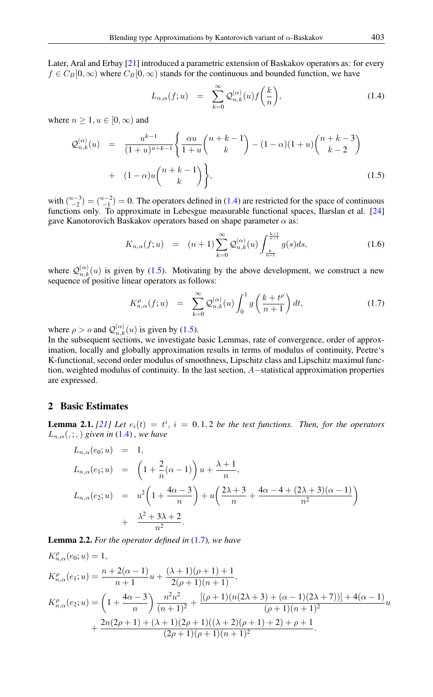Later, Aral and Erbay [\[21\]](#page-11-14) introduced a parametric extension of Baskakov operators as: for every  $f \in C_B[0,\infty)$  where  $C_B[0,\infty)$  stands for the continuous and bounded function, we have

<span id="page-1-0"></span>
$$
L_{n,\alpha}(f;u) = \sum_{k=0}^{\infty} \mathcal{Q}_{n,k}^{(\alpha)}(u) f\left(\frac{k}{n}\right), \qquad (1.4)
$$

where  $n \geq 1, u \in [0, \infty)$  and

<span id="page-1-1"></span>
$$
\mathcal{Q}_{n,k}^{(\alpha)}(u) = \frac{u^{k-1}}{(1+u)^{n+k-1}} \left\{ \frac{\alpha u}{1+u} {n+k-1 \choose k} - (1-\alpha)(1+u) {n+k-3 \choose k-2} + (1-\alpha)u {n+k-1 \choose k} \right\},
$$
\n(1.5)

with  $\binom{n-3}{-2} = \binom{n-2}{-1} = 0$ . The operators defined in [\(1.4\)](#page-1-0) are restricted for the space of continuous functions only. To approximate in Lebesgue measurable functional spaces, Ilarslan et al. [\[24\]](#page-11-15) gave Kanotorovich Baskakov operators based on shape parameter  $\alpha$  as:

$$
K_{n,\alpha}(f;u) = (n+1) \sum_{k=0}^{\infty} \mathcal{Q}_{n,k}^{(\alpha)}(u) \int_{\frac{k}{n+1}}^{\frac{k+1}{n+1}} g(s)ds,
$$
 (1.6)

where  $Q_{n,k}^{(\alpha)}(u)$  is given by [\(1.5\)](#page-1-1). Motivating by the above development, we construct a new sequence of positive linear operators as follows:

<span id="page-1-2"></span>
$$
K_{n,\alpha}^{\rho}(f;u) = \sum_{k=0}^{\infty} \mathcal{Q}_{n,k}^{(\alpha)}(u) \int_0^1 g\left(\frac{k+t^{\rho}}{n+1}\right) dt,
$$
 (1.7)

where  $\rho > o$  and  $\mathcal{Q}_{n,k}^{(\alpha)}(u)$  is given by [\(1.5\)](#page-1-1).

In the subsequent sections, we investigate basic Lemmas, rate of convergence, order of approximation, locally and globally approximation results in terms of modulus of continuity, Peetre's K-functional, second order modulus of smoothness, Lipschitz class and Lipschitz maximul function, weighted modulus of continuity. In the last section, A−statistical approximation properties are expressed.

## 2 Basic Estimates

<span id="page-1-3"></span>**Lemma 2.1.** [\[21\]](#page-11-14) Let  $e_i(t) = t^i$ ,  $i = 0, 1, 2$  be the test functions. Then, for the operators  $L_{n,\alpha}(,; \cdot)$  *given in* [\(1.4\)](#page-1-0), *we have* 

$$
L_{n,\alpha}(e_0; u) = 1,
$$
  
\n
$$
L_{n,\alpha}(e_1; u) = \left(1 + \frac{2}{n}(\alpha - 1)\right)u + \frac{\lambda + 1}{n},
$$
  
\n
$$
L_{n,\alpha}(e_2; u) = u^2 \left(1 + \frac{4\alpha - 3}{n}\right) + u \left(\frac{2\lambda + 3}{n} + \frac{4\alpha - 4 + (2\lambda + 3)(\alpha - 1)}{n^2}\right) + \frac{\lambda^2 + 3\lambda + 2}{n^2}.
$$

<span id="page-1-4"></span>Lemma 2.2. *For the operator defined in* [\(1.7\)](#page-1-2)*, we have*

$$
K_{n,\alpha}^{\rho}(e_0;u) = 1,
$$
  
\n
$$
K_{n,\alpha}^{\rho}(e_1;u) = \frac{n+2(\alpha-1)}{n+1}u + \frac{(\lambda+1)(\rho+1)+1}{2(\rho+1)(n+1)},
$$
  
\n
$$
K_{n,\alpha}^{\rho}(e_2;u) = \left(1 + \frac{4\alpha-3}{n}\right)\frac{n^2u^2}{(n+1)^2} + \frac{[(\rho+1)(n(2\lambda+3) + (\alpha-1)(2\lambda+7))] + 4(\alpha-1)}{(\rho+1)(n+1)^2}u + \frac{2n(2\rho+1) + (\lambda+1)(2\rho+1)((\lambda+2)(\rho+1)+2) + \rho+1}{(2\rho+1)(\rho+1)(n+1)^2}.
$$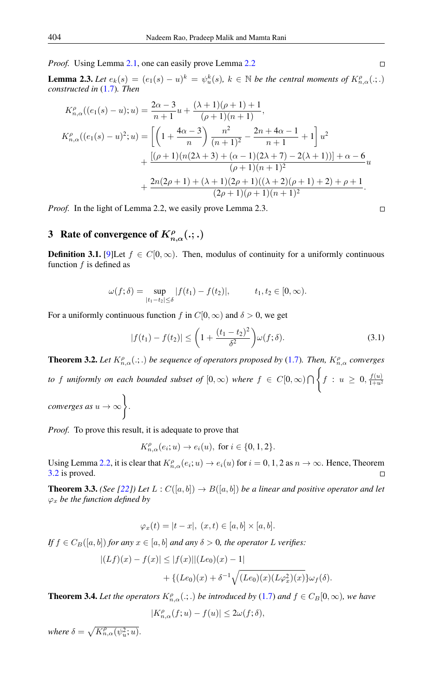*Proof.* Using Lemma [2.1,](#page-1-3) one can easily prove Lemma [2.2](#page-1-4)

<span id="page-2-2"></span>**Lemma 2.3.** Let  $e_k(s) = (e_1(s) - u)^k = \psi_u^k(s)$ ,  $k \in \mathbb{N}$  be the central moments of  $K_{n,\alpha}^{\rho}(.;.)$ *constructed in* [\(1.7\)](#page-1-2)*. Then*

$$
K_{n,\alpha}^{\rho}((e_1(s) - u); u) = \frac{2\alpha - 3}{n + 1}u + \frac{(\lambda + 1)(\rho + 1) + 1}{(\rho + 1)(n + 1)},
$$
  
\n
$$
K_{n,\alpha}^{\rho}((e_1(s) - u)^2; u) = \left[\left(1 + \frac{4\alpha - 3}{n}\right)\frac{n^2}{(n + 1)^2} - \frac{2n + 4\alpha - 1}{n + 1} + 1\right]u^2
$$
  
\n
$$
+ \frac{[(\rho + 1)(n(2\lambda + 3) + (\alpha - 1)(2\lambda + 7) - 2(\lambda + 1))] + \alpha - 6}{(\rho + 1)(n + 1)^2}u
$$
  
\n
$$
+ \frac{2n(2\rho + 1) + (\lambda + 1)(2\rho + 1)((\lambda + 2)(\rho + 1) + 2) + \rho + 1}{(2\rho + 1)(\rho + 1)(n + 1)^2}.
$$

*Proof.* In the light of Lemma 2.2, we easily prove Lemma 2.3.

# 3 Rate of convergence of  $K^{\rho}_{n,\alpha}(.;.)$

**Definition 3.1.** [\[9\]](#page-11-3)Let  $f \in C[0,\infty)$ . Then, modulus of continuity for a uniformly continuous function  $f$  is defined as

$$
\omega(f; \delta) = \sup_{|t_1 - t_2| \le \delta} |f(t_1) - f(t_2)|, \qquad t_1, t_2 \in [0, \infty).
$$

For a uniformly continuous function f in  $C[0,\infty)$  and  $\delta > 0$ , we get

$$
|f(t_1) - f(t_2)| \le \left(1 + \frac{(t_1 - t_2)^2}{\delta^2}\right) \omega(f; \delta).
$$
 (3.1)

<span id="page-2-0"></span>**Theorem 3.2.** Let  $K_{n,\alpha}^{\rho}(.;.)$  be sequence of operators proposed by [\(1.7\)](#page-1-2). Then,  $K_{n,\alpha}^{\rho}$  converges *to* f uniformly on each bounded subset of  $[0,\infty)$  where  $f \in C[0,\infty) \bigcap$  $\sqrt{ }$  $f: u \geq 0, \frac{f(u)}{1+u^2}$  $1+u^2$ *converges as*  $u \to \infty$ .

*Proof.* To prove this result, it is adequate to prove that

 $K_{n,\alpha}^{\rho}(e_i;u) \to e_i(u)$ , for  $i \in \{0,1,2\}$ .

Using Lemma [2.2,](#page-1-4) it is clear that  $K_{n,\alpha}^{\rho}(e_i;u) \to e_i(u)$  for  $i = 0, 1, 2$  as  $n \to \infty$ . Hence, Theorem [3.2](#page-2-0) is proved.  $\Box$ 

<span id="page-2-1"></span>**Theorem 3.3.** *(See [\[22\]](#page-11-16))* Let  $L: C([a, b]) \to B([a, b])$  be a linear and positive operator and let  $\varphi_x$  *be the function defined by* 

$$
\varphi_x(t) = |t - x|, \ (x, t) \in [a, b] \times [a, b].
$$

*If*  $f \in C_B([a, b])$  *for any*  $x \in [a, b]$  *and any*  $\delta > 0$ *, the operator* L *verifies*:

$$
|(Lf)(x) - f(x)| \le |f(x)| |(Le_0)(x) - 1|
$$
  
+ {(*Le*<sub>0</sub>)(x) +  $\delta^{-1} \sqrt{(Le_0)(x)(L\varphi_x^2)(x)}$ } $\omega_f(\delta)$ .

**Theorem 3.4.** Let the operators  $K_{n,\alpha}^{\rho}$  ( $\ldots$ ) be introduced by [\(1.7\)](#page-1-2) and  $f \in C_B[0,\infty)$ , we have

$$
|K_{n,\alpha}^{\rho}(f;u)-f(u)|\leq 2\omega(f;\delta),
$$

where  $\delta = \sqrt{K^{\rho}_{n,\alpha}(\psi^2_u;u)}$ .

$$
\Box
$$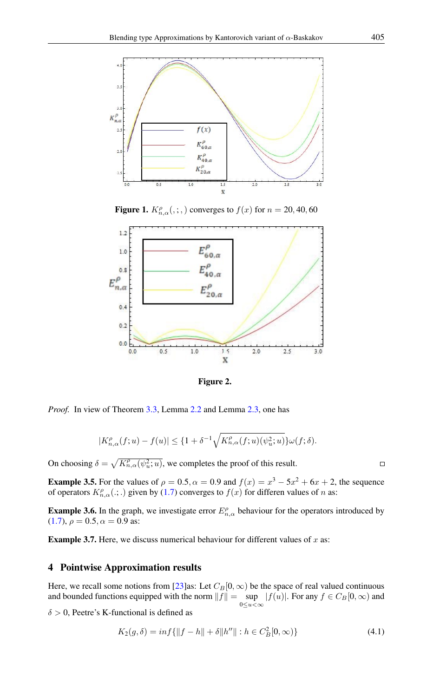

**Figure 1.**  $K_{n,\alpha}^{\rho}(\cdot;\cdot)$  converges to  $f(x)$  for  $n = 20, 40, 60$ 



Figure 2.

*Proof.* In view of Theorem [3.3,](#page-2-1) Lemma [2.2](#page-1-4) and Lemma [2.3,](#page-2-2) one has

$$
|K_{n,\alpha}^{\rho}(f;u)-f(u)| \leq \{1+\delta^{-1}\sqrt{K_{n,\alpha}^{\rho}(f;u)(\psi_{u}^{2};u)}\}\omega(f;\delta).
$$

On choosing  $\delta = \sqrt{K_{n,\alpha}^{\rho}(\psi_{u}^{2};u)}$ , we completes the proof of this result.

**Example 3.5.** For the values of  $\rho = 0.5$ ,  $\alpha = 0.9$  and  $f(x) = x^3 - 5x^2 + 6x + 2$ , the sequence of operators  $K_{n,\alpha}^{\rho}(.;.)$  given by [\(1.7\)](#page-1-2) converges to  $f(x)$  for differen values of n as:

**Example 3.6.** In the graph, we investigate error  $E_{n,\alpha}^{\rho}$  behaviour for the operators introduced by [\(1.7\)](#page-1-2),  $\rho = 0.5$ ,  $\alpha = 0.9$  as:

**Example 3.7.** Here, we discuss numerical behaviour for different values of  $x$  as:

## 4 Pointwise Approximation results

Here, we recall some notions from [\[23\]](#page-11-17)as: Let  $C_B[0, \infty)$  be the space of real valued continuous and bounded functions equipped with the norm  $||f|| = \sup$  $\sup_{0 \le u < \infty} |f(u)|$ . For any  $f \in C_B[0, \infty)$  and

 $\delta > 0$ , Peetre's K-functional is defined as

$$
K_2(g,\delta) = \inf\{\|f - h\| + \delta \|h''\| : h \in C_B^2[0,\infty)\}\tag{4.1}
$$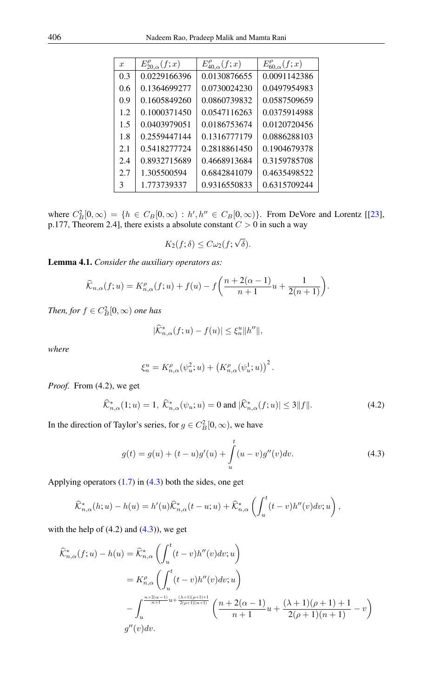| $\mathcal{X}$ | $E_{20,\alpha}^{\rho}(f;x)$ | $E_{40,\alpha}^{\rho}(f;x)$ | $E_{60,\alpha}^{\rho}(f;x)$ |
|---------------|-----------------------------|-----------------------------|-----------------------------|
| 0.3           | 0.0229166396                | 0.0130876655                | 0.0091142386                |
| 0.6           | 0.1364699277                | 0.0730024230                | 0.0497954983                |
| 0.9           | 0.1605849260                | 0.0860739832                | 0.0587509659                |
| 1.2           | 0.1000371450                | 0.0547116263                | 0.0375914988                |
| 1.5           | 0.0403979051                | 0.0186753674                | 0.0120720456                |
| 1.8           | 0.2559447144                | 0.1316777179                | 0.0886288103                |
| 2.1           | 0.5418277724                | 0.2818861450                | 0.1904679378                |
| 2.4           | 0.8932715689                | 0.4668913684                | 0.3159785708                |
| 2.7           | 1.305500594                 | 0.6842841079                | 0.4635498522                |
| 3             | 1.773739337                 | 0.9316550833                | 0.6315709244                |

where  $C_B^2[0,\infty) = \{h \in C_B[0,\infty) : h', h'' \in C_B[0,\infty)\}\.$  From DeVore and Lorentz [[\[23\]](#page-11-17), p.177, Theorem 2.4], there exists a absolute constant  $C > 0$  in such a way

$$
K_2(f; \delta) \leq C \omega_2(f; \sqrt{\delta}).
$$

<span id="page-4-1"></span>Lemma 4.1. *Consider the auxiliary operators as:*

$$
\widehat{\mathcal{K}}_{n,\alpha}(f;u) = K_{n,\alpha}^{\rho}(f;u) + f(u) - f\left(\frac{n+2(\alpha-1)}{n+1}u + \frac{1}{2(n+1)}\right).
$$

*Then, for*  $f \in C_B^2[0, \infty)$  *one has* 

$$
|\widehat{\mathcal{K}}_{n,\alpha}^*(f;u)-f(u)|\leq \xi_n^u \|h''\|,
$$

*where*

$$
\xi_n^u = K_{n,\alpha}^{\rho}(\psi_u^2; u) + (K_{n,\alpha}^{\rho}(\psi_u^1; u))^2.
$$

*Proof.* From (4.2), we get

<span id="page-4-2"></span>
$$
\widehat{\mathcal{K}}_{n,\alpha}^*(1;u) = 1, \ \widehat{\mathcal{K}}_{n,\alpha}^*(\psi_u;u) = 0 \text{ and } |\widehat{\mathcal{K}}_{n,\alpha}^*(f;u)| \le 3||f||. \tag{4.2}
$$

In the direction of Taylor's series, for  $g \in C_B^2[0, \infty)$ , we have

<span id="page-4-0"></span>
$$
g(t) = g(u) + (t - u)g'(u) + \int_{u}^{t} (u - v)g''(v)dv.
$$
\n(4.3)

Applying operators  $(1.7)$  in  $(4.3)$  both the sides, one get

$$
\widehat{\mathcal{K}}_{n,\alpha}^*(h;u) - h(u) = h'(u)\widehat{\mathcal{K}}_{n,\alpha}^*(t-u;u) + \widehat{\mathcal{K}}_{n,\alpha}^*\left(\int_u^t (t-v)h''(v)dv;u\right),
$$

with the help of  $(4.2)$  and  $(4.3)$ , we get

$$
\widehat{\mathcal{K}}_{n,\alpha}^*(f;u) - h(u) = \widehat{\mathcal{K}}_{n,\alpha}^* \left( \int_u^t (t-v)h''(v)dv; u \right)
$$
  
\n
$$
= K_{n,\alpha}^{\rho} \left( \int_u^t (t-v)h''(v)dv; u \right)
$$
  
\n
$$
- \int_u^{\frac{n+2(\alpha-1)}{n+1}u + \frac{(\lambda+1)(\rho+1)+1}{2(\rho+1)(n+1)}} \left( \frac{n+2(\alpha-1)}{n+1}u + \frac{(\lambda+1)(\rho+1)+1}{2(\rho+1)(n+1)} - v \right)
$$
  
\n
$$
g''(v)dv.
$$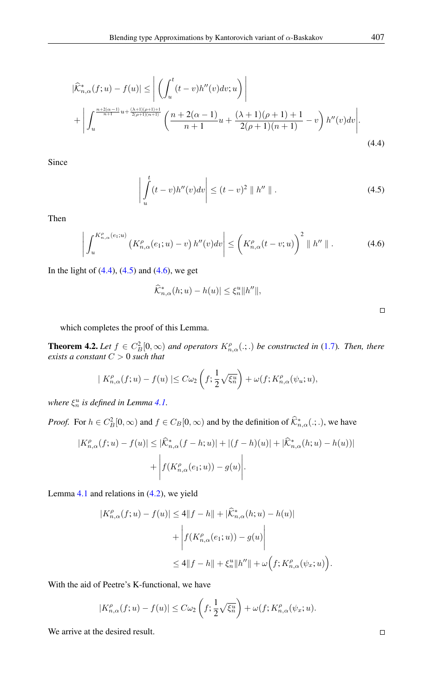$$
\left| \widehat{\mathcal{K}}_{n,\alpha}^{*}(f;u) - f(u) \right| \leq \left| \left( \int_{u}^{t} (t-v)h''(v)dv; u \right) \right| + \left| \int_{u}^{\frac{n+2(\alpha-1)}{n+1}u + \frac{(\lambda+1)(\rho+1)+1}{2(\rho+1)(n+1)}} \left( \frac{n+2(\alpha-1)}{n+1}u + \frac{(\lambda+1)(\rho+1)+1}{2(\rho+1)(n+1)} - v \right) h''(v)dv \right|.
$$
\n(4.4)

Since

<span id="page-5-1"></span>
$$
\left| \int_{u}^{t} (t - v) h''(v) dv \right| \le (t - v)^2 \parallel h'' \parallel.
$$
 (4.5)

Then

<span id="page-5-2"></span>
$$
\left| \int_{u}^{K_{n,\alpha}^{\rho}(e_1;u)} \left( K_{n,\alpha}^{\rho}(e_1;u) - v \right) h''(v) dv \right| \leq \left( K_{n,\alpha}^{\rho}(t-v;u) \right)^2 \parallel h'' \parallel . \tag{4.6}
$$

In the light of  $(4.4)$ ,  $(4.5)$  and  $(4.6)$ , we get

$$
\widehat{\mathcal{K}}^*_{n,\alpha}(h;u) - h(u)| \leq \xi_n^u \|h''\|,
$$

<span id="page-5-0"></span> $\Box$ 

which completes the proof of this Lemma.

**Theorem 4.2.** Let  $f \in C_B^2[0,\infty)$  and operators  $K_{n,\alpha}^{\rho}(\cdot;\cdot)$  be constructed in [\(1.7\)](#page-1-2). Then, there *exists a constant* C > 0 *such that*

$$
| K_{n,\alpha}^{\rho}(f;u) - f(u) | \leq C \omega_2 \left( f; \frac{1}{2} \sqrt{\xi_n^u} \right) + \omega(f; K_{n,\alpha}^{\rho}(\psi_u; u)),
$$

*where*  $\xi_n^u$  *is defined in Lemma [4.1.](#page-4-1)* 

*Proof.* For  $h \in C_B^2[0, \infty)$  and  $f \in C_B[0, \infty)$  and by the definition of  $\hat{\mathcal{K}}_{n,\alpha}^*(.; .)$ , we have

$$
|K_{n,\alpha}^{\rho}(f;u) - f(u)| \leq |\widehat{\mathcal{K}}_{n,\alpha}^*(f - h;u)| + |(f - h)(u)| + |\widehat{\mathcal{K}}_{n,\alpha}^*(h;u) - h(u))|
$$
  
+ 
$$
\left| f(K_{n,\alpha}^{\rho}(e_1;u)) - g(u) \right|.
$$

Lemma [4.1](#page-4-1) and relations in [\(4.2\)](#page-4-2), we yield

$$
|K_{n,\alpha}^{\rho}(f;u) - f(u)| \le 4||f - h|| + |\widehat{K}_{n,\alpha}^{*}(h;u) - h(u)|
$$
  
+ 
$$
\left| f(K_{n,\alpha}^{\rho}(e_1;u)) - g(u) \right|
$$
  

$$
\le 4||f - h|| + \xi_n^u ||h''|| + \omega \Big(f;K_{n,\alpha}^{\rho}(\psi_x;u)\Big).
$$

With the aid of Peetre's K-functional, we have

$$
|K_{n,\alpha}^{\rho}(f;u)-f(u)| \leq C\omega_2\left(f; \frac{1}{2}\sqrt{\xi_u^u}\right)+\omega(f; K_{n,\alpha}^{\rho}(\psi_x;u).
$$

We arrive at the desired result.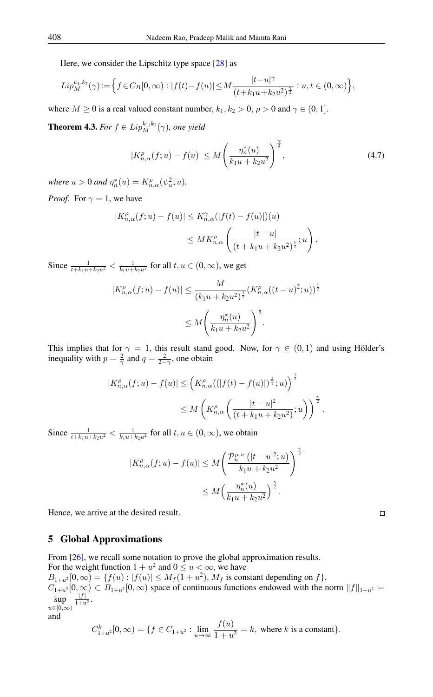Here, we consider the Lipschitz type space [\[28\]](#page-11-18) as

$$
Lip_M^{k_1,k_2}(\gamma) := \Big\{ f \in C_B[0,\infty) : |f(t) - f(u)| \le M \frac{|t - u|^\gamma}{(t + k_1 u + k_2 u^2)^{\frac{\gamma}{2}}} : u, t \in (0,\infty) \Big\},\,
$$

where  $M \ge 0$  is a real valued constant number,  $k_1, k_2 > 0$ ,  $\rho > 0$  and  $\gamma \in (0, 1]$ .

**Theorem 4.3.** *For*  $f \in Lip_M^{k_1,k_2}(\gamma)$ , *one yield* 

$$
|K_{n,\alpha}^{\rho}(f;u) - f(u)| \le M \left(\frac{\eta_n^*(u)}{k_1 u + k_2 u^2}\right)^{\frac{\gamma}{2}},\tag{4.7}
$$

*where*  $u > 0$  *and*  $\eta_n^*(u) = K_{n,\alpha}^{\rho}(\psi_u^2; u)$ *.* 

*Proof.* For  $\gamma = 1$ , we have

$$
|K_{n,\alpha}^{\rho}(f;u) - f(u)| \le K_{n,\alpha}^{\gamma}(|f(t) - f(u)|)(u)
$$
  

$$
\le MK_{n,\alpha}^{\rho} \left( \frac{|t - u|}{(t + k_1 u + k_2 u^2)^{\frac{1}{2}}}; u \right).
$$

Since  $\frac{1}{t+k_1u+k_2u^2} < \frac{1}{k_1u+k_2u^2}$  for all  $t, u \in (0, \infty)$ , we get

$$
|K_{n,\alpha}^{\rho}(f;u) - f(u)| \leq \frac{M}{(k_1u + k_2u^2)^{\frac{1}{2}}} (K_{n,\alpha}^{\rho}((t-u)^2;u))^{\frac{1}{2}}
$$
  

$$
\leq M \left(\frac{\eta_n^*(u)}{k_1u + k_2u^2}\right)^{\frac{1}{2}}.
$$

This implies that for  $\gamma = 1$ , this result stand good. Now, for  $\gamma \in (0,1)$  and using Hölder's inequality with  $p = \frac{2}{\gamma}$  and  $q = \frac{2}{2-\gamma}$ , one obtain

$$
|K_{n,\alpha}^{\rho}(f;u)-f(u)| \leq \left(K_{n,\alpha}^{\rho}((|f(t)-f(u)|)^{\frac{2}{\gamma}};u)\right)^{\frac{\gamma}{2}}
$$
  

$$
\leq M\left(K_{n,\alpha}^{\rho}\left(\frac{|t-u|^{2}}{(t+k_{1}u+k_{2}u^{2})};u\right)\right)^{\frac{\gamma}{2}}.
$$

Since  $\frac{1}{t+k_1u+k_2u^2} < \frac{1}{k_1u+k_2u^2}$  for all  $t, u \in (0, \infty)$ , we obtain

$$
|K_{n,\alpha}^{\rho}(f;u) - f(u)| \le M \left( \frac{\mathcal{P}_n^{\mu,\nu} \left( |t-u|^2; u \right)}{k_1 u + k_2 u^2} \right)^{\frac{\gamma}{2}}
$$
  

$$
\le M \left( \frac{\eta_n^*(u)}{k_1 u + k_2 u^2} \right)^{\frac{\gamma}{2}}.
$$

Hence, we arrive at the desired result.

## 5 Global Approximations

From [\[26\]](#page-11-19), we recall some notation to prove the global approximation results. For the weight function  $1 + u^2$  and  $0 \le u < \infty$ , we have  $B_{1+u^2}[0,\infty) = \{f(u) : |f(u)| \le M_f(1+u^2), M_f \text{ is constant depending on } f\}.$ 

 $C_{1+u^2} [0,\infty) \subset B_{1+u^2} [0,\infty)$  space of continuous functions endowed with the norm  $||f||_{1+u^2} =$ sup  $|f|$  $\frac{|J|}{1+u^2}$ .

 $u \in [0,\infty)$ and

$$
C_{1+u^2}^k[0,\infty) = \{ f \in C_{1+u^2} : \lim_{u \to \infty} \frac{f(u)}{1+u^2} = k, \text{ where } k \text{ is a constant} \}.
$$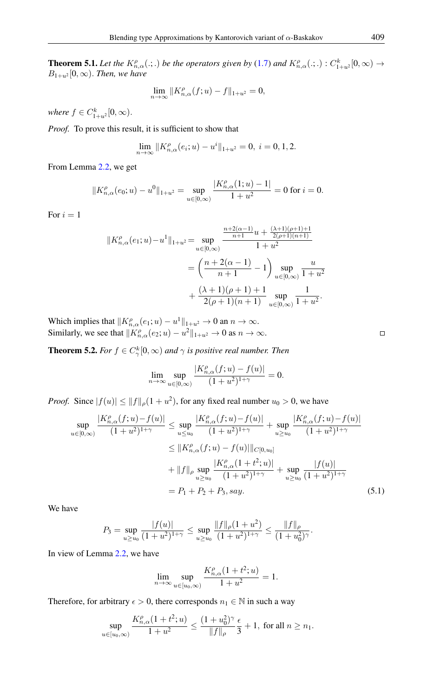**Theorem 5.1.** Let the  $K_{n,\alpha}^{\rho}(.;.)$  be the operators given by [\(1.7\)](#page-1-2) and  $K_{n,\alpha}^{\rho}(.;.)$  :  $C_{1+u^2}^k[0,\infty) \rightarrow$  $B_{1+u^2}[0,\infty)$ . *Then, we have* 

$$
\lim_{n \to \infty} \|K_{n,\alpha}^{\rho}(f;u) - f\|_{1+u^2} = 0,
$$

where  $f \in C^k_{1+u^2}[0, \infty)$ .

*Proof.* To prove this result, it is sufficient to show that

$$
\lim_{n \to \infty} ||K_{n,\alpha}^{\rho}(e_i; u) - u^i||_{1+u^2} = 0, \ i = 0, 1, 2.
$$

From Lemma [2.2,](#page-1-4) we get

$$
||K_{n,\alpha}^{\rho}(e_0;u) - u^0||_{1+u^2} = \sup_{u \in [0,\infty)} \frac{|K_{n,\alpha}^{\rho}(1;u) - 1|}{1+u^2} = 0 \text{ for } i = 0.
$$

For  $i = 1$ 

$$
||K_{n,\alpha}^{\rho}(e_1;u) - u^1||_{1+u^2} = \sup_{u \in [0,\infty)} \frac{\frac{n+2(\alpha-1)}{n+1}u + \frac{(\lambda+1)(\rho+1)+1}{2(\rho+1)(n+1)}}{1+u^2}
$$
  
=  $\left(\frac{n+2(\alpha-1)}{n+1} - 1\right) \sup_{u \in [0,\infty)} \frac{u}{1+u^2}$   
+  $\frac{(\lambda+1)(\rho+1)+1}{2(\rho+1)(n+1)} \sup_{u \in [0,\infty)} \frac{1}{1+u^2}.$ 

Which implies that  $||K_{n,\alpha}^{\rho}(e_1;u) - u^1||_{1+u^2} \to 0$  an  $n \to \infty$ . Similarly, we see that  $||K_{n,\alpha}^{\rho}(e_2; u) - u^2||_{1+u^2} \to 0$  as  $n \to \infty$ .

**Theorem 5.2.** *For*  $f \in C^k_\gamma[0, \infty)$  *and*  $\gamma$  *is positive real number. Then* 

$$
\lim_{n\to\infty}\sup_{u\in[0,\infty)}\frac{|K_{n,\alpha}^{\rho}(f;u)-f(u)|}{(1+u^2)^{1+\gamma}}=0.
$$

*Proof.* Since  $|f(u)| \le ||f||_{\rho}(1 + u^2)$ , for any fixed real number  $u_0 > 0$ , we have

$$
\sup_{u \in [0,\infty)} \frac{|K_{n,\alpha}^{\rho}(f;u) - f(u)|}{(1+u^2)^{1+\gamma}} \leq \sup_{u \leq u_0} \frac{|K_{n,\alpha}^{\rho}(f;u) - f(u)|}{(1+u^2)^{1+\gamma}} + \sup_{u \geq u_0} \frac{|K_{n,\alpha}^{\rho}(f;u) - f(u)|}{(1+u^2)^{1+\gamma}}
$$
  

$$
\leq ||K_{n,\alpha}^{\rho}(f;u) - f(u)||_{C[0,u_0]}
$$
  

$$
+ ||f||_{\rho} \sup_{u \geq u_0} \frac{|K_{n,\alpha}^{\rho}(1+t^2;u)|}{(1+u^2)^{1+\gamma}} + \sup_{u \geq u_0} \frac{|f(u)|}{(1+u^2)^{1+\gamma}}
$$
  

$$
= P_1 + P_2 + P_3, say. \tag{5.1}
$$

We have

$$
P_3 = \sup_{u \ge u_0} \frac{|f(u)|}{(1+u^2)^{1+\gamma}} \le \sup_{u \ge u_0} \frac{\|f\|_{\rho}(1+u^2)}{(1+u^2)^{1+\gamma}} \le \frac{\|f\|_{\rho}}{(1+u_0^2)^{\gamma}}.
$$

In view of Lemma [2.2,](#page-1-4) we have

<span id="page-7-0"></span>
$$
\lim_{n\to\infty}\sup_{u\in[u_0,\infty)}\frac{K_{n,\alpha}^\rho(1+t^2;u)}{1+u^2}=1.
$$

Therefore, for arbitrary  $\epsilon > 0$ , there corresponds  $n_1 \in \mathbb{N}$  in such a way

$$
\sup_{u\in[u_0,\infty)}\frac{K_{n,\alpha}^\rho(1+t^2; u)}{1+u^2}\leq \frac{(1+u_0^2)^\gamma}{\|f\|_\rho}\frac{\epsilon}{3}+1, \text{ for all }n\geq n_1.
$$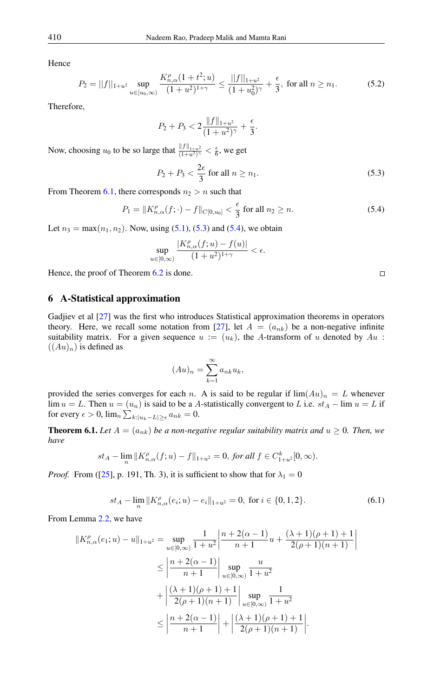Hence

$$
P_2 = ||f||_{1+u^2} \sup_{u \in [u_0,\infty)} \frac{K_{n,\alpha}^{\rho}(1+t^2;u)}{(1+u^2)^{1+\gamma}} \le \frac{||f||_{1+u^2}}{(1+u_0^2)^{\gamma}} + \frac{\epsilon}{3}, \text{ for all } n \ge n_1.
$$
 (5.2)

Therefore,

$$
P_2 + P_3 < 2 \frac{\|f\|_{1+u^2}}{(1+u^2)^\gamma} + \frac{\epsilon}{3}.
$$

Now, choosing  $u_0$  to be so large that  $\frac{||f||_{1+u^2}}{(1+u^2)^{\gamma}} < \frac{\epsilon}{6}$ , we get

<span id="page-8-1"></span>
$$
P_2 + P_3 < \frac{2\epsilon}{3} \text{ for all } n \ge n_1. \tag{5.3}
$$

From Theorem [6.1,](#page-8-0) there corresponds  $n_2 > n$  such that

<span id="page-8-2"></span>
$$
P_1 = \|K_{n,\alpha}^{\rho}(f; \cdot) - f\|_{C[0,u_0]} < \frac{\epsilon}{3} \text{ for all } n_2 \ge n. \tag{5.4}
$$

Let  $n_3 = \max(n_1, n_2)$ . Now, using [\(5.1\)](#page-7-0), [\(5.3\)](#page-8-1) and [\(5.4\)](#page-8-2), we obtain

$$
\sup_{u\in[0,\infty)}\frac{|K^{\rho}_{n,\alpha}(f;u)-f(u)|}{(1+u^2)^{1+\gamma}}<\epsilon.
$$

Hence, the proof of Theorem [6.2](#page-9-0) is done.

## 6 A-Statistical approximation

Gadjiev et al [\[27\]](#page-11-20) was the first who introduces Statistical approximation theorems in operators theory. Here, we recall some notation from [\[27\]](#page-11-20), let  $A = (a_{nk})$  be a non-negative infinite suitability matrix. For a given sequence  $u := (u_k)$ , the A-transform of u denoted by  $Au$ :  $((Au)<sub>n</sub>)$  is defined as

$$
(Au)_n = \sum_{k=1}^{\infty} a_{nk} u_k,
$$

provided the series converges for each n. A is said to be regular if  $\lim_{n \to \infty} (Au)_n = L$  whenever lim  $u = L$ . Then  $u = (u_n)$  is said to be a A-statistically convergent to L i.e.  $st_A - \lim u = L$  if for every  $\epsilon > 0$ ,  $\lim_{n} \sum_{k:|u_k - L| \geq \epsilon} a_{nk} = 0$ .

<span id="page-8-0"></span>**Theorem 6.1.** Let  $A = (a_{nk})$  be a non-negative regular suitability matrix and  $u \ge 0$ . Then, we *have*

$$
st_A - \lim_n ||K_{n,\alpha}^{\rho}(f;u) - f||_{1+u^2} = 0, \text{ for all } f \in C_{1+u^2}^k[0,\infty).
$$

*Proof.* From ([\[25\]](#page-11-21), p. 191, Th. 3), it is sufficient to show that for  $\lambda_1 = 0$ 

$$
st_A - \lim_{n} ||K_{n,\alpha}^{\rho}(e_i;u) - e_i||_{1+u^2} = 0, \text{ for } i \in \{0,1,2\}.
$$
 (6.1)

From Lemma [2.2,](#page-1-4) we have

$$
||K_{n,\alpha}^{\rho}(e_1;u) - u||_{1+u^2} = \sup_{u \in [0,\infty)} \frac{1}{1+u^2} \left| \frac{n+2(\alpha-1)}{n+1} u + \frac{(\lambda+1)(\rho+1)+1}{2(\rho+1)(n+1)} \right|
$$
  

$$
\leq \left| \frac{n+2(\alpha-1)}{n+1} \right| \sup_{u \in [0,\infty)} \frac{u}{1+u^2}
$$
  

$$
+ \left| \frac{(\lambda+1)(\rho+1)+1}{2(\rho+1)(n+1)} \right| \sup_{u \in [0,\infty)} \frac{1}{1+u^2}
$$
  

$$
\leq \left| \frac{n+2(\alpha-1)}{n+1} \right| + \left| \frac{(\lambda+1)(\rho+1)+1}{2(\rho+1)(n+1)} \right|.
$$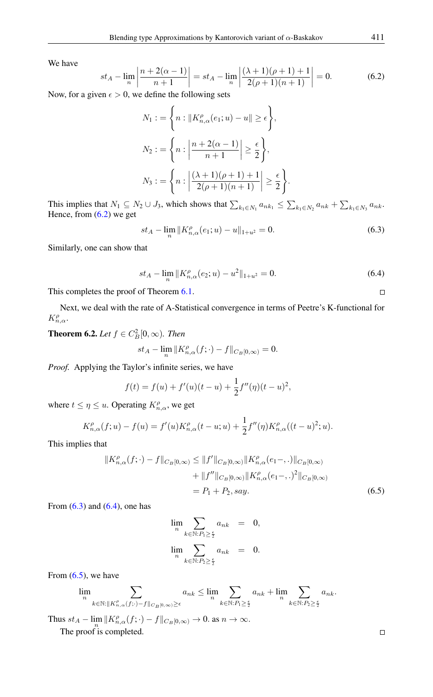We have

<span id="page-9-1"></span>
$$
st_A - \lim_{n} \left| \frac{n + 2(\alpha - 1)}{n + 1} \right| = st_A - \lim_{n} \left| \frac{(\lambda + 1)(\rho + 1) + 1}{2(\rho + 1)(n + 1)} \right| = 0.
$$
 (6.2)

Now, for a given  $\epsilon > 0$ , we define the following sets

$$
N_1 := \left\{ n : \|K_{n,\alpha}^{\rho}(e_1; u) - u\| \ge \epsilon \right\},\
$$
  

$$
N_2 := \left\{ n : \left| \frac{n + 2(\alpha - 1)}{n + 1} \right| \ge \frac{\epsilon}{2} \right\},\
$$
  

$$
N_3 := \left\{ n : \left| \frac{(\lambda + 1)(\rho + 1) + 1}{2(\rho + 1)(n + 1)} \right| \ge \frac{\epsilon}{2} \right\}.
$$

This implies that  $N_1 \subseteq N_2 \cup J_3$ , which shows that  $\sum_{k_1 \in N_1} a_{nk_1} \leq \sum_{k_1 \in N_2} a_{nk} + \sum_{k_1 \in N_3} a_{nk}$ . Hence, from  $(6.2)$  we get

<span id="page-9-2"></span>
$$
st_A - \lim_n ||K_{n,\alpha}^{\rho}(e_1;u) - u||_{1+u^2} = 0.
$$
\n(6.3)

Similarly, one can show that

<span id="page-9-3"></span>
$$
st_A - \lim_n ||K_{n,\alpha}^{\rho}(e_2;u) - u^2||_{1+u^2} = 0.
$$
\n(6.4)

This completes the proof of Theorem [6.1.](#page-8-0)

Next, we deal with the rate of A-Statistical convergence in terms of Peetre's K-functional for  $K_{n,\alpha}^{\rho}$ .

<span id="page-9-0"></span>**Theorem 6.2.** *Let*  $f \in C_B^2[0,\infty)$ *. Then* 

$$
st_A-\lim_n\|K_{n,\alpha}^{\rho}(f;\cdot)-f\|_{C_B[0,\infty)}=0.
$$

*Proof.* Applying the Taylor's infinite series, we have

$$
f(t) = f(u) + f'(u)(t - u) + \frac{1}{2}f''(\eta)(t - u)^2,
$$

where  $t \leq \eta \leq u$ . Operating  $K_{n,\alpha}^{\rho}$ , we get

$$
K_{n,\alpha}^{\rho}(f;u) - f(u) = f'(u)K_{n,\alpha}^{\rho}(t-u;u) + \frac{1}{2}f''(\eta)K_{n,\alpha}^{\rho}((t-u)^2;u).
$$

This implies that

$$
||K_{n,\alpha}^{\rho}(f; \cdot) - f||_{C_B[0,\infty)} \le ||f'||_{C_B[0,\infty)} ||K_{n,\alpha}^{\rho}(e_1 - \ldots)||_{C_B[0,\infty)}
$$
  
+  $||f''||_{C_B[0,\infty)} ||K_{n,\alpha}^{\rho}(e_1 - \ldots)|_{C_B[0,\infty)}$   
=  $P_1 + P_2$ , say. (6.5)

From  $(6.3)$  and  $(6.4)$ , one has

$$
\lim_{n} \sum_{k \in \mathbb{N}: P_1 \ge \frac{\epsilon}{2}} a_{nk} = 0,
$$
  

$$
\lim_{n} \sum_{k \in \mathbb{N}: P_2 \ge \frac{\epsilon}{2}} a_{nk} = 0.
$$

From  $(6.5)$ , we have

$$
\lim_n \sum_{k \in \mathbb{N}: \|K_{n,\alpha}^\rho (f;\cdot)-f\|_{C_B[0,\infty)} \geq \epsilon} a_{nk} \leq \lim_n \sum_{k \in \mathbb{N}: P_l \geq \frac{\epsilon}{2}} a_{nk} + \lim_n \sum_{k \in \mathbb{N}: P_2 \geq \frac{\epsilon}{2}} a_{nk}.
$$

Thus  $st_A - \lim_n ||K_{n,\alpha}^{\rho}(f; \cdot) - f||_{C_B[0,\infty)} \to 0$ . as  $n \to \infty$ . The proof is completed.

<span id="page-9-4"></span> $\Box$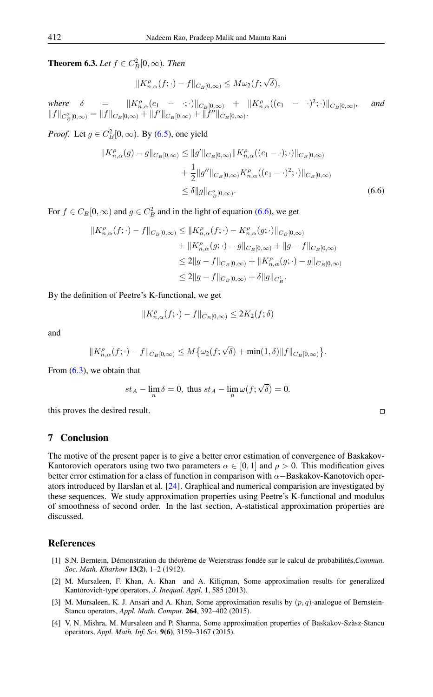**Theorem 6.3.** *Let*  $f \in C_B^2[0, \infty)$ *. Then* 

<span id="page-10-4"></span>
$$
||K_{n,\alpha}^{\rho}(f;\cdot)-f||_{C_B[0,\infty)} \le M\omega_2(f;\sqrt{\delta}),
$$

 $where \delta = \|K_{n,\alpha}^{\rho}(e_1 - \cdot;\cdot)\|_{C_B[0,\infty)} + \|K_{n,\alpha}^{\rho}((e_1 - \cdot)^2;\cdot)\|_{C_B[0,\infty)}$ *, and*  $||f||_{C_B^2[0,\infty)} = ||f||_{C_B[0,\infty)} + ||f'||_{C_B[0,\infty)} + ||f''||_{C_B[0,\infty)}.$ 

*Proof.* Let  $g \in C_B^2[0, \infty)$ . By [\(6.5\)](#page-9-4), one yield

$$
||K_{n,\alpha}^{\rho}(g) - g||_{C_B[0,\infty)} \le ||g'||_{C_B[0,\infty)} ||K_{n,\alpha}^{\rho}((e_1 - \cdot); \cdot)||_{C_B[0,\infty)}
$$
  
+ 
$$
\frac{1}{2} ||g''||_{C_B[0,\infty)} K_{n,\alpha}^{\rho}((e_1 - \cdot)^2; \cdot)||_{C_B[0,\infty)}
$$
  

$$
\le \delta ||g||_{C_B^2[0,\infty)}.
$$
 (6.6)

For  $f \in C_B[0,\infty)$  and  $g \in C_B^2$  and in the light of equation [\(6.6\)](#page-10-4), we get

$$
||K_{n,\alpha}^{\rho}(f; \cdot) - f||_{C_B[0,\infty)} \le ||K_{n,\alpha}^{\rho}(f; \cdot) - K_{n,\alpha}^{\rho}(g; \cdot)||_{C_B[0,\infty)}
$$
  
+  $||K_{n,\alpha}^{\rho}(g; \cdot) - g||_{C_B[0,\infty)} + ||g - f||_{C_B[0,\infty)}$   
 $\le 2||g - f||_{C_B[0,\infty)} + ||K_{n,\alpha}^{\rho}(g; \cdot) - g||_{C_B[0,\infty)}$   
 $\le 2||g - f||_{C_B[0,\infty)} + \delta ||g||_{C_B^2}.$ 

By the definition of Peetre's K-functional, we get

$$
||K_{n,\alpha}^{\rho}(f; \cdot) - f||_{C_B[0,\infty)} \le 2K_2(f; \delta)
$$

and

$$
||K_{n,\alpha}^{\rho}(f;\cdot)-f||_{C_B[0,\infty)} \leq M\big\{\omega_2(f;\sqrt{\delta})+\min(1,\delta)\|f\|_{C_B[0,\infty)}\big\}.
$$

From  $(6.3)$ , we obtain that

$$
st_A - \lim_n \delta = 0, \text{ thus } st_A - \lim_n \omega(f; \sqrt{\delta}) = 0.
$$

this proves the desired result.

## 7 Conclusion

The motive of the present paper is to give a better error estimation of convergence of Baskakov-Kantorovich operators using two two parameters  $\alpha \in [0, 1]$  and  $\rho > 0$ . This modification gives better error estimation for a class of function in comparison with  $\alpha$ −Baskakov-Kanotovich operators introduced by Ilarslan et al. [\[24\]](#page-11-15). Graphical and numerical comparision are investigated by these sequences. We study approximation properties using Peetre's K-functional and modulus of smoothness of second order. In the last section, A-statistical approximation properties are discussed.

## <span id="page-10-0"></span>References

- <span id="page-10-1"></span>[1] S.N. Berntein, Démonstration du théorème de Weierstrass fondée sur le calcul de probabilités,*Commun. Soc. Math. Kharkow* 13(2), 1–2 (1912).
- <span id="page-10-2"></span>[2] M. Mursaleen, F. Khan, A. Khan and A. Kiliçman, Some approximation results for generalized Kantorovich-type operators, *J. Inequal. Appl.* 1, 585 (2013).
- <span id="page-10-3"></span>[3] M. Mursaleen, K. J. Ansari and A. Khan, Some approximation results by  $(p, q)$ -analogue of Bernstein-Stancu operators, *Appl. Math. Comput*. 264, 392–402 (2015).
- [4] V. N. Mishra, M. Mursaleen and P. Sharma, Some approximation properties of Baskakov-Szàsz-Stancu operators, *Appl. Math. Inf. Sci.* 9(6), 3159–3167 (2015).